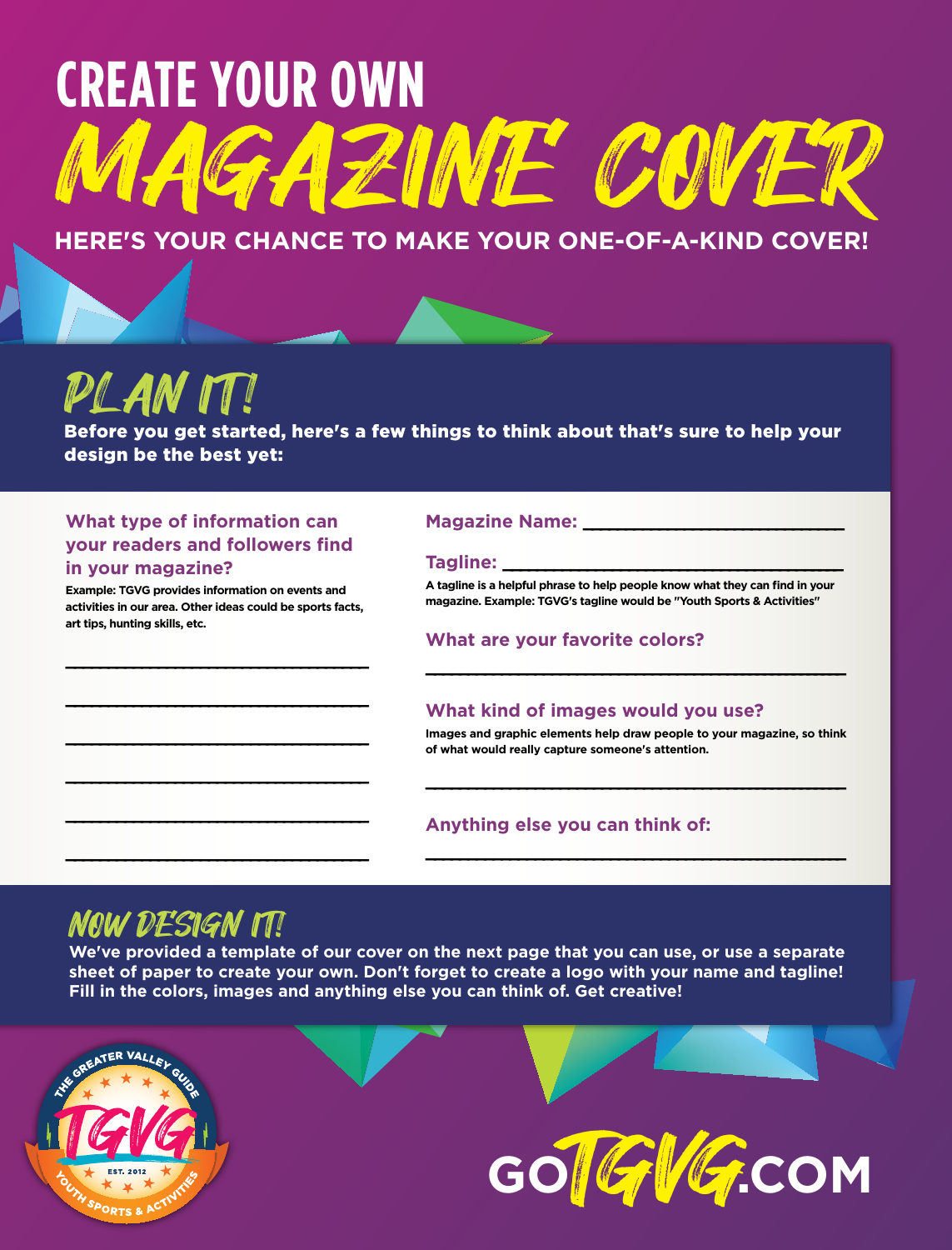# **Create your own**  ZINE COVER

#### **Here's your chance to make your one-of-a-kind cover!**

## PL AN IT!

Before you get started, here's a few things to think about that's sure to help your design be the best yet:

#### **What type of information can your readers and followers find in your magazine?**

**Example: TGVG provides information on events and activities in our area. Other ideas could be sports facts, art tips, hunting skills, etc.** 

**\_\_\_\_\_\_\_\_\_\_\_\_\_\_\_\_\_\_\_\_\_\_\_\_\_\_\_\_\_\_\_\_\_\_\_\_**

**\_\_\_\_\_\_\_\_\_\_\_\_\_\_\_\_\_\_\_\_\_\_\_\_\_\_\_\_\_\_\_\_\_\_\_\_**

**\_\_\_\_\_\_\_\_\_\_\_\_\_\_\_\_\_\_\_\_\_\_\_\_\_\_\_\_\_\_\_\_\_\_\_\_**

**\_\_\_\_\_\_\_\_\_\_\_\_\_\_\_\_\_\_\_\_\_\_\_\_\_\_\_\_\_\_\_\_\_\_\_\_**

**\_\_\_\_\_\_\_\_\_\_\_\_\_\_\_\_\_\_\_\_\_\_\_\_\_\_\_\_\_\_\_\_\_\_\_\_**

**\_\_\_\_\_\_\_\_\_\_\_\_\_\_\_\_\_\_\_\_\_\_\_\_\_\_\_\_\_\_\_\_\_\_\_\_**

#### **Magazine Name: \_\_\_\_\_\_\_\_\_\_\_\_\_\_\_\_\_\_\_\_\_\_\_\_\_\_\_\_\_\_\_**

#### **Tagline: \_\_\_\_\_\_\_\_\_\_\_\_\_\_\_\_\_\_\_\_\_\_\_\_\_\_\_\_\_\_\_\_\_\_\_\_\_\_\_\_\_**

**A tagline is a helpful phrase to help people know what they can find in your magazine. Example: TGVG's tagline would be "Youth Sports & Activities"** 

#### **What are your favorite colors?**

#### **What kind of images would you use?**

**Images and graphic elements help draw people to your magazine, so think of what would really capture someone's attention.** 

**\_\_\_\_\_\_\_\_\_\_\_\_\_\_\_\_\_\_\_\_\_\_\_\_\_\_\_\_\_\_\_\_\_\_\_\_\_\_\_\_\_\_\_\_\_\_\_\_\_\_\_\_**

**\_\_\_\_\_\_\_\_\_\_\_\_\_\_\_\_\_\_\_\_\_\_\_\_\_\_\_\_\_\_\_\_\_\_\_\_\_\_\_\_\_\_\_\_\_\_\_\_\_\_\_\_**

**\_\_\_\_\_\_\_\_\_\_\_\_\_\_\_\_\_\_\_\_\_\_\_\_\_\_\_\_\_\_\_\_\_\_\_\_\_\_\_\_\_\_\_\_\_\_\_\_\_\_\_\_**

#### **Anything else you can think of:**

### NOW DESIGN IT!

**We've provided a template of our cover on the next page that you can use, or use a separate sheet of paper to create your own. Don't forget to create a logo with your name and tagline! Fill in the colors, images and anything else you can think of. Get creative!**